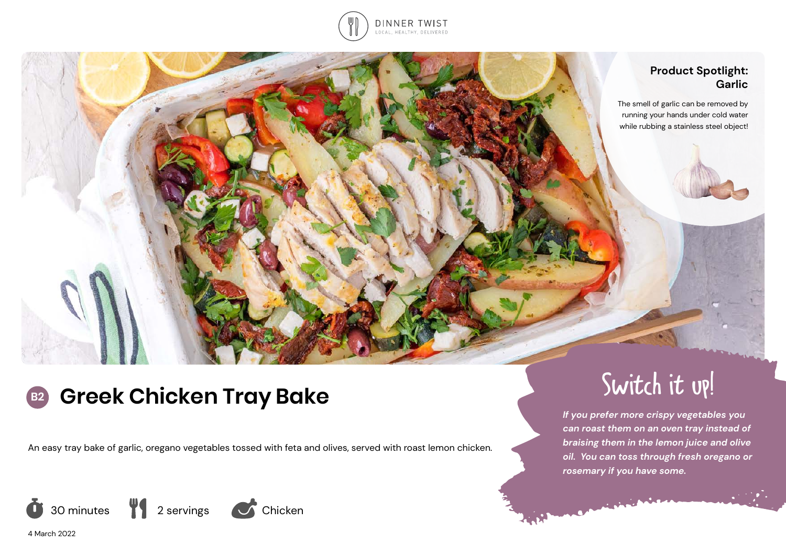

## **Product Spotlight: Garlic**

The smell of garlic can be removed by running your hands under cold water while rubbing a stainless steel object!

# **B2 Greek Chicken Tray Bake**

An easy tray bake of garlic, oregano vegetables tossed with feta and olives, served with roast lemon chicken.







Switch it up!

*If you prefer more crispy vegetables you can roast them on an oven tray instead of braising them in the lemon juice and olive oil. You can toss through fresh oregano or rosemary if you have some.*

4 March 2022